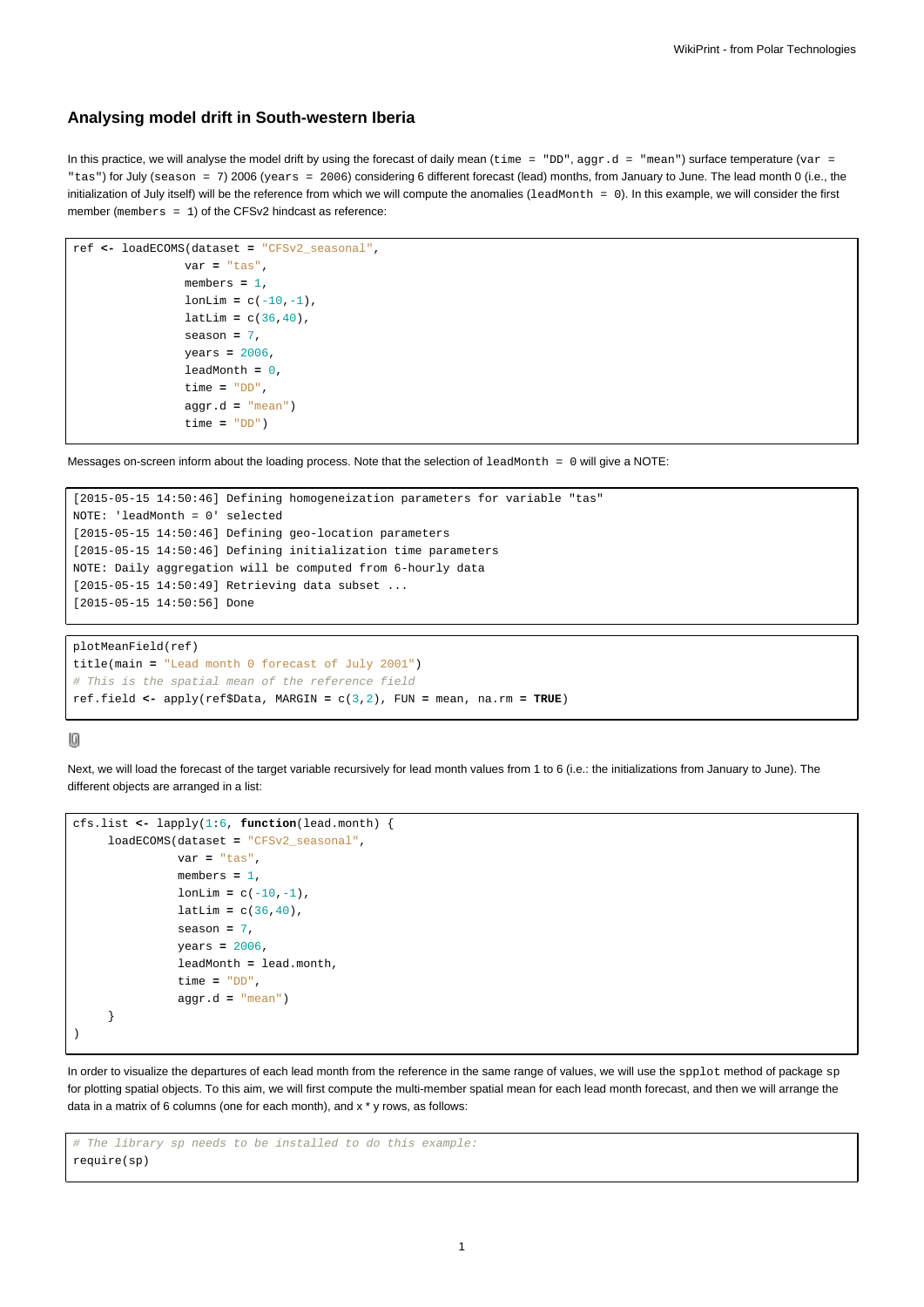## **Analysing model drift in South-western Iberia**

In this practice, we will analyse the model drift by using the forecast of daily mean (time = "DD", aggr.d = "mean") surface temperature (var = "tas") for July (season = 7) 2006 (years = 2006) considering 6 different forecast (lead) months, from January to June. The lead month 0 (i.e., the initialization of July itself) will be the reference from which we will compute the anomalies (leadMonth = 0). In this example, we will consider the first member (members = 1) of the CFSv2 hindcast as reference:

```
ref <- loadECOMS(dataset = "CFSv2_seasonal",
                var = "tas",
                members = 1,
                lonLim = c(-10,-1),
                latLim = c(36, 40),
                season = 7,
                years = 2006,
                leadMonth = 0,
                time = "DD",
                aggr.d = "mean")
                time = "DD")
```
Messages on-screen inform about the loading process. Note that the selection of leadMonth = 0 will give a NOTE:

```
[2015-05-15 14:50:46] Defining homogeneization parameters for variable "tas"
NOTE: 'leadMonth = 0' selected
[2015-05-15 14:50:46] Defining geo-location parameters
[2015-05-15 14:50:46] Defining initialization time parameters
NOTE: Daily aggregation will be computed from 6-hourly data
[2015-05-15 14:50:49] Retrieving data subset ...
[2015-05-15 14:50:56] Done
```

```
plotMeanField(ref)
title(main = "Lead month 0 forecast of July 2001")
# This is the spatial mean of the reference field
ref.field <- apply(ref$Data, MARGIN = c(3,2), FUN = mean, na.rm = TRUE)
```
## $[0] % \begin{center} % \includegraphics[width=\linewidth]{imagesSupplemental_3.png} % \end{center} % \caption { % Our method is used for the image. % Let us use the image. % Let us use the image. % Let us use the image. % Let us use the image. % Let us use the image. % Let us use the image. % Let us use the image. % Let us use the image. % Let us use the image. % Let us use the image. % Let us use the image. % Let us use the image. % Let us use the image. % Let us use the image. % Let us use the image. % Let us use the image. % Let us use the image. % Let us use the image. % Let us use the image. % Let us use the image. % Let us use the image. % Let us use the image. % Let us use the image. % Let us use the image. % Let us use the image.$

Next, we will load the forecast of the target variable recursively for lead month values from 1 to 6 (i.e.: the initializations from January to June). The different objects are arranged in a list:

```
cfs.list <- lapply(1:6, function(lead.month) {
     loadECOMS(dataset = "CFSv2_seasonal",
               var = "tas",
               members = 1,
               lonLim = c(-10,-1),
               latLim = c(36, 40),
               season = 7,
               years = 2006,
               leadMonth = lead.month,
               time = "DD",
               aggr.d = "mean")
     }
)
```
In order to visualize the departures of each lead month from the reference in the same range of values, we will use the spplot method of package sp for plotting spatial objects. To this aim, we will first compute the multi-member spatial mean for each lead month forecast, and then we will arrange the data in a matrix of 6 columns (one for each month), and x \* y rows, as follows:

```
# The library sp needs to be installed to do this example:
require(sp)
```